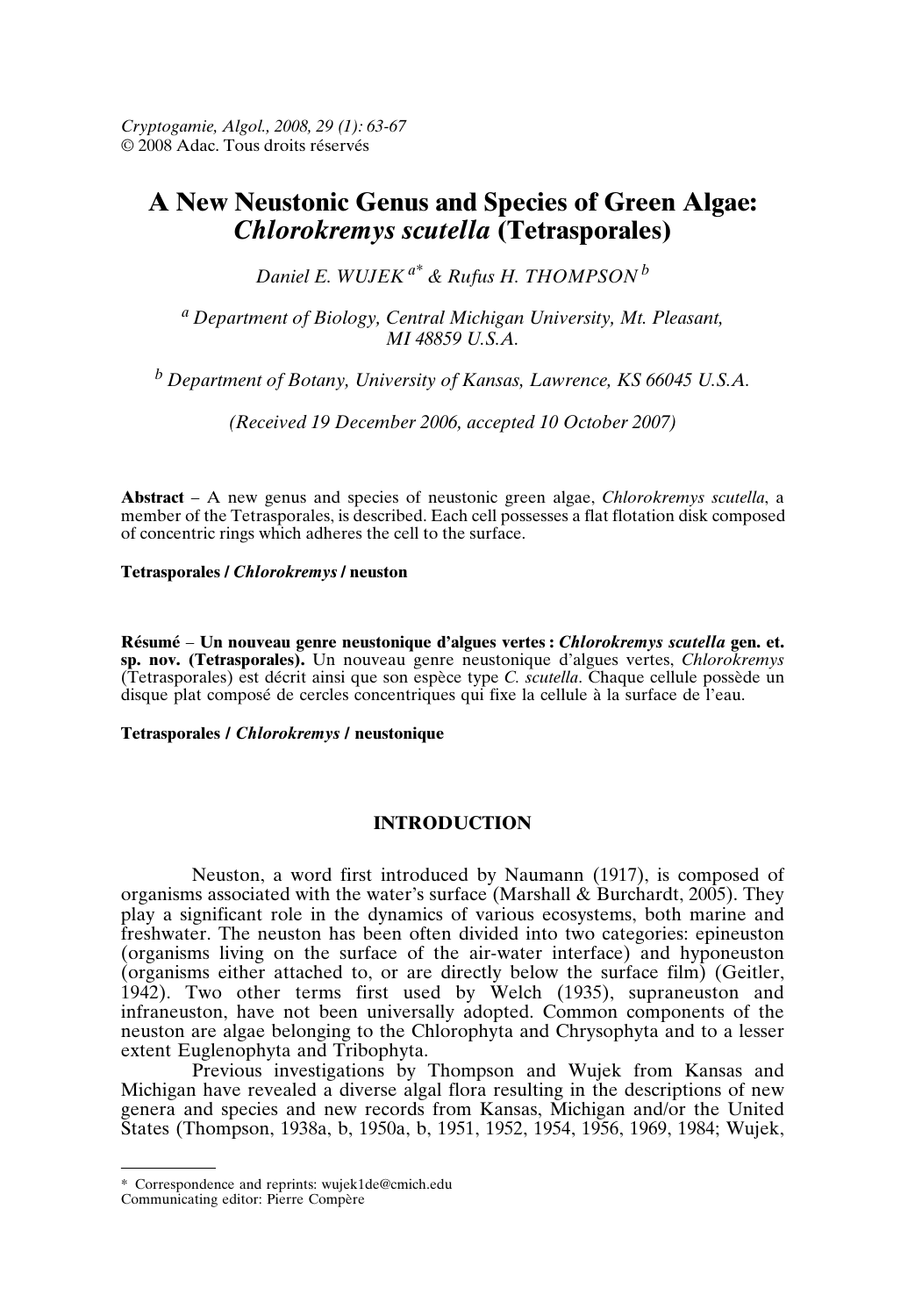*Cryptogamie, Algol., 2008, 29 (1): 63-67* © 2008 Adac. Tous droits réservés

# **A New Neustonic Genus and Species of Green Algae:** *Chlorokremys scutella* **(Tetrasporales)**

*Daniel E. WUJEK a\* & Rufus H. THOMPSON <sup>b</sup>*

*<sup>a</sup> Department of Biology, Central Michigan University, Mt. Pleasant, MI 48859 U.S.A.*

*<sup>b</sup> Department of Botany, University of Kansas, Lawrence, KS 66045 U.S.A.*

*(Received 19 December 2006, accepted 10 October 2007)*

**Abstract** – A new genus and species of neustonic green algae, *Chlorokremys scutella*, a member of the Tetrasporales, is described. Each cell possesses a flat flotation disk composed of concentric rings which adheres the cell to the surface.

**Tetrasporales /** *Chlorokremys* **/ neuston**

**Résumé** – **Un nouveau genre neustonique d'algues vertes :** *Chlorokremys scutella* **gen. et. sp. nov. (Tetrasporales).** Un nouveau genre neustonique d'algues vertes, *Chlorokremys* (Tetrasporales) est décrit ainsi que son espèce type *C. scutella*. Chaque cellule possède un disque plat composé de cercles concentriques qui fixe la cellule à la surface de l'eau.

#### **Tetrasporales /** *Chlorokremys* **/ neustonique**

# **INTRODUCTION**

Neuston, a word first introduced by Naumann (1917), is composed of organisms associated with the water's surface (Marshall & Burchardt, 2005). They play a significant role in the dynamics of various ecosystems, both marine and freshwater. The neuston has been often divided into two categories: epineuston (organisms living on the surface of the air-water interface) and hyponeuston (organisms either attached to, or are directly below the surface film) (Geitler, 1942). Two other terms first used by Welch (1935), supraneuston and infraneuston, have not been universally adopted. Common components of the neuston are algae belonging to the Chlorophyta and Chrysophyta and to a lesser extent Euglenophyta and Tribophyta.

Previous investigations by Thompson and Wujek from Kansas and Michigan have revealed a diverse algal flora resulting in the descriptions of new genera and species and new records from Kansas, Michigan and/or the United States (Thompson, 1938a, b, 1950a, b, 1951, 1952, 1954, 1956, 1969, 1984; Wujek,

<sup>\*</sup> Correspondence and reprints: wujek1de@cmich.edu

Communicating editor: Pierre Compère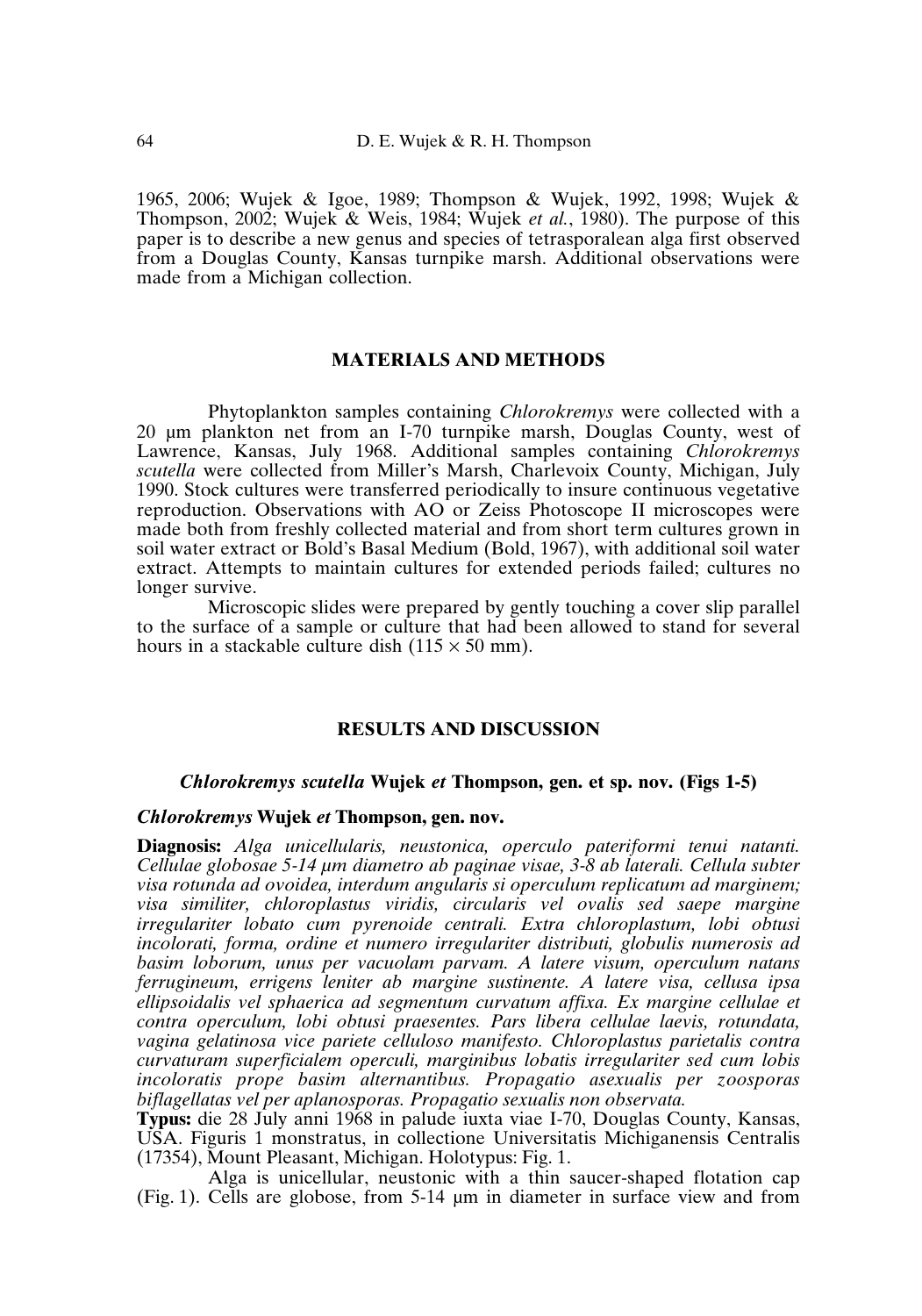1965, 2006; Wujek & Igoe, 1989; Thompson & Wujek, 1992, 1998; Wujek & Thompson, 2002; Wujek & Weis, 1984; Wujek *et al.*, 1980). The purpose of this paper is to describe a new genus and species of tetrasporalean alga first observed from a Douglas County, Kansas turnpike marsh. Additional observations were made from a Michigan collection.

# **MATERIALS AND METHODS**

Phytoplankton samples containing *Chlorokremys* were collected with a 20 µm plankton net from an I-70 turnpike marsh, Douglas County, west of Lawrence, Kansas, July 1968. Additional samples containing *Chlorokremys scutella* were collected from Miller's Marsh, Charlevoix County, Michigan, July 1990. Stock cultures were transferred periodically to insure continuous vegetative reproduction. Observations with AO or Zeiss Photoscope II microscopes were made both from freshly collected material and from short term cultures grown in soil water extract or Bold's Basal Medium (Bold, 1967), with additional soil water extract. Attempts to maintain cultures for extended periods failed; cultures no longer survive.

Microscopic slides were prepared by gently touching a cover slip parallel to the surface of a sample or culture that had been allowed to stand for several hours in a stackable culture dish  $(115 \times 50 \text{ mm})$ .

#### **RESULTS AND DISCUSSION**

## *Chlorokremys scutella* **Wujek** *et* **Thompson, gen. et sp. nov. (Figs 1-5)**

### *Chlorokremys* **Wujek** *et* **Thompson, gen. nov.**

**Diagnosis:** *Alga unicellularis, neustonica, operculo pateriformi tenui natanti. Cellulae globosae 5-14 µm diametro ab paginae visae, 3-8 ab laterali. Cellula subter visa rotunda ad ovoidea, interdum angularis si operculum replicatum ad marginem; visa similiter, chloroplastus viridis, circularis vel ovalis sed saepe margine irregulariter lobato cum pyrenoide centrali. Extra chloroplastum, lobi obtusi incolorati, forma, ordine et numero irregulariter distributi, globulis numerosis ad basim loborum, unus per vacuolam parvam. A latere visum, operculum natans ferrugineum, errigens leniter ab margine sustinente. A latere visa, cellusa ipsa ellipsoidalis vel sphaerica ad segmentum curvatum affixa. Ex margine cellulae et contra operculum, lobi obtusi praesentes. Pars libera cellulae laevis, rotundata, vagina gelatinosa vice pariete celluloso manifesto. Chloroplastus parietalis contra curvaturam superficialem operculi, marginibus lobatis irregulariter sed cum lobis incoloratis prope basim alternantibus. Propagatio asexualis per zoosporas biflagellatas vel per aplanosporas. Propagatio sexualis non observata.*

**Typus:** die 28 July anni 1968 in palude iuxta viae I-70, Douglas County, Kansas, USA. Figuris 1 monstratus, in collectione Universitatis Michiganensis Centralis (17354), Mount Pleasant, Michigan. Holotypus: Fig. 1.

Alga is unicellular, neustonic with a thin saucer-shaped flotation cap (Fig. 1). Cells are globose, from 5-14 µm in diameter in surface view and from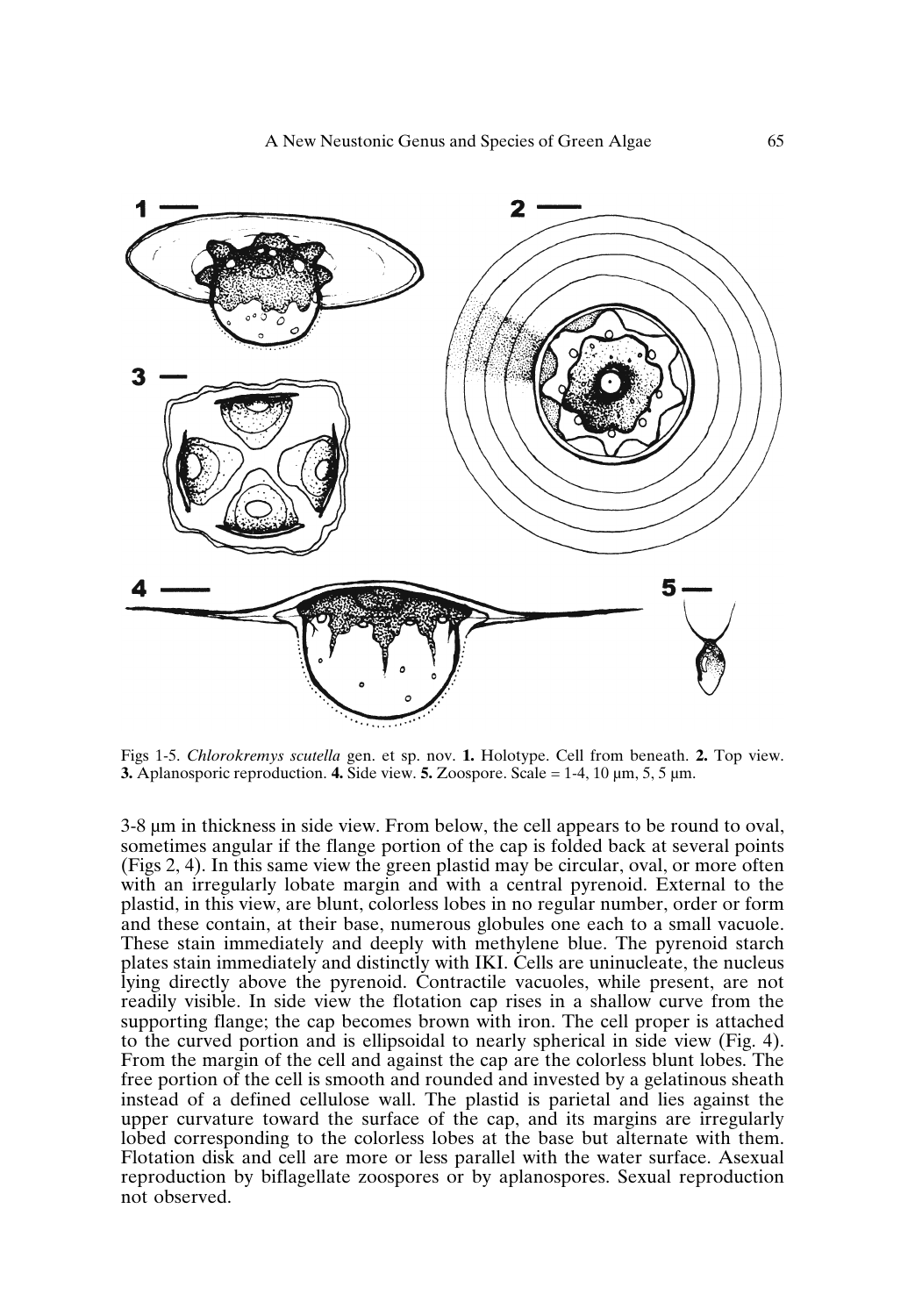

Figs 1-5. *Chlorokremys scutella* gen. et sp. nov. **1.** Holotype. Cell from beneath. **2.** Top view. **3.** Aplanosporic reproduction. **4.** Side view. **5.** Zoospore. Scale = 1-4, 10 µm, 5, 5 µm.

3-8 µm in thickness in side view. From below, the cell appears to be round to oval, sometimes angular if the flange portion of the cap is folded back at several points (Figs 2, 4). In this same view the green plastid may be circular, oval, or more often with an irregularly lobate margin and with a central pyrenoid. External to the plastid, in this view, are blunt, colorless lobes in no regular number, order or form and these contain, at their base, numerous globules one each to a small vacuole. These stain immediately and deeply with methylene blue. The pyrenoid starch plates stain immediately and distinctly with IKI. Cells are uninucleate, the nucleus lying directly above the pyrenoid. Contractile vacuoles, while present, are not readily visible. In side view the flotation cap rises in a shallow curve from the supporting flange; the cap becomes brown with iron. The cell proper is attached to the curved portion and is ellipsoidal to nearly spherical in side view (Fig. 4). From the margin of the cell and against the cap are the colorless blunt lobes. The free portion of the cell is smooth and rounded and invested by a gelatinous sheath instead of a defined cellulose wall. The plastid is parietal and lies against the upper curvature toward the surface of the cap, and its margins are irregularly lobed corresponding to the colorless lobes at the base but alternate with them. Flotation disk and cell are more or less parallel with the water surface. Asexual reproduction by biflagellate zoospores or by aplanospores. Sexual reproduction not observed.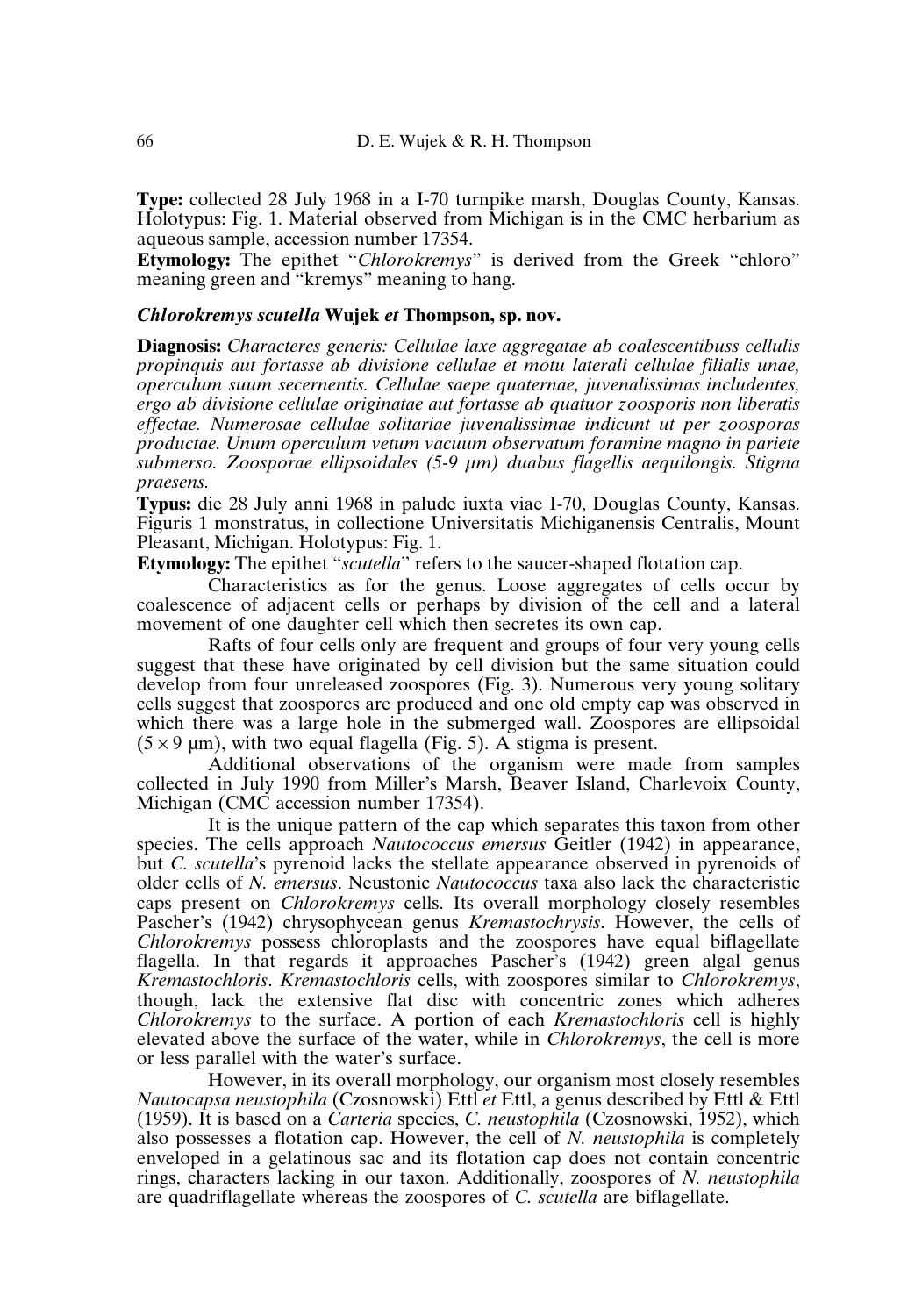**Type:** collected 28 July 1968 in a I-70 turnpike marsh, Douglas County, Kansas. Holotypus: Fig. 1. Material observed from Michigan is in the CMC herbarium as aqueous sample, accession number 17354.

**Etymology:** The epithet "*Chlorokremys*" is derived from the Greek "chloro" meaning green and "kremys" meaning to hang.

### *Chlorokremys scutella* **Wujek** *et* **Thompson, sp. nov.**

**Diagnosis:** *Characteres generis: Cellulae laxe aggregatae ab coalescentibuss cellulis propinquis aut fortasse ab divisione cellulae et motu laterali cellulae filialis unae, operculum suum secernentis. Cellulae saepe quaternae, juvenalissimas includentes, ergo ab divisione cellulae originatae aut fortasse ab quatuor zoosporis non liberatis effectae. Numerosae cellulae solitariae juvenalissimae indicunt ut per zoosporas productae. Unum operculum vetum vacuum observatum foramine magno in pariete submerso. Zoosporae ellipsoidales (5-9 µm) duabus flagellis aequilongis. Stigma praesens.*

**Typus:** die 28 July anni 1968 in palude iuxta viae I-70, Douglas County, Kansas. Figuris 1 monstratus, in collectione Universitatis Michiganensis Centralis, Mount Pleasant, Michigan. Holotypus: Fig. 1.

**Etymology:** The epithet "*scutella*" refers to the saucer-shaped flotation cap.

Characteristics as for the genus. Loose aggregates of cells occur by coalescence of adjacent cells or perhaps by division of the cell and a lateral movement of one daughter cell which then secretes its own cap.

Rafts of four cells only are frequent and groups of four very young cells suggest that these have originated by cell division but the same situation could develop from four unreleased zoospores (Fig. 3). Numerous very young solitary cells suggest that zoospores are produced and one old empty cap was observed in which there was a large hole in the submerged wall. Zoospores are ellipsoidal  $(5 \times 9 \text{ µm})$ , with two equal flagella (Fig. 5). A stigma is present.

Additional observations of the organism were made from samples collected in July 1990 from Miller's Marsh, Beaver Island, Charlevoix County, Michigan (CMC accession number 17354).

It is the unique pattern of the cap which separates this taxon from other species. The cells approach *Nautococcus emersus* Geitler (1942) in appearance, but *C. scutella*'s pyrenoid lacks the stellate appearance observed in pyrenoids of older cells of *N. emersus*. Neustonic *Nautococcus* taxa also lack the characteristic caps present on *Chlorokremys* cells. Its overall morphology closely resembles Pascher's (1942) chrysophycean genus *Kremastochrysis*. However, the cells of *Chlorokremys* possess chloroplasts and the zoospores have equal biflagellate flagella. In that regards it approaches Pascher's (1942) green algal genus *Kremastochloris*. *Kremastochloris* cells, with zoospores similar to *Chlorokremys*, though, lack the extensive flat disc with concentric zones which adheres *Chlorokremys* to the surface. A portion of each *Kremastochloris* cell is highly elevated above the surface of the water, while in *Chlorokremys*, the cell is more or less parallel with the water's surface.

However, in its overall morphology, our organism most closely resembles *Nautocapsa neustophila* (Czosnowski) Ettl *et* Ettl, a genus described by Ettl & Ettl (1959). It is based on a *Carteria* species, *C. neustophila* (Czosnowski, 1952), which also possesses a flotation cap. However, the cell of *N. neustophila* is completely enveloped in a gelatinous sac and its flotation cap does not contain concentric rings, characters lacking in our taxon. Additionally, zoospores of *N. neustophila* are quadriflagellate whereas the zoospores of *C. scutella* are biflagellate.